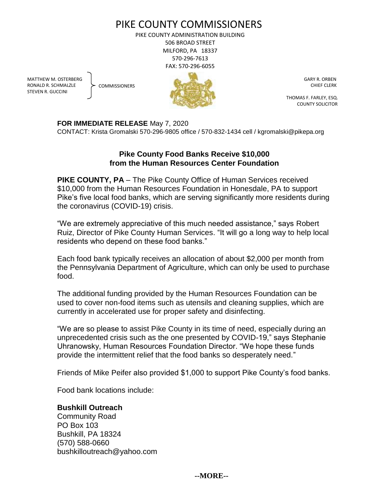# PIKE COUNTY COMMISSIONERS

PIKE COUNTY ADMINISTRATION BUILDING 506 BROAD STREET MILFORD, PA 18337 570-296-7613 FAX: 570-296-6055

MATTHEW M. OSTERBERG RONALD R. SCHMALZLE STEVEN R. GUCCINI

**COMMISSIONERS** 



 GARY R. ORBEN CHIEF CLERK

 THOMAS F. FARLEY, ESQ. COUNTY SOLICITOR

**FOR IMMEDIATE RELEASE** May 7, 2020

CONTACT: Krista Gromalski 570-296-9805 office / 570-832-1434 cell / kgromalski@pikepa.org

# **Pike County Food Banks Receive \$10,000 from the Human Resources Center Foundation**

**PIKE COUNTY, PA** – The Pike County Office of Human Services received \$10,000 from the Human Resources Foundation in Honesdale, PA to support Pike's five local food banks, which are serving significantly more residents during the coronavirus (COVID-19) crisis.

"We are extremely appreciative of this much needed assistance," says Robert Ruiz, Director of Pike County Human Services. "It will go a long way to help local residents who depend on these food banks."

Each food bank typically receives an allocation of about \$2,000 per month from the Pennsylvania Department of Agriculture, which can only be used to purchase food.

The additional funding provided by the Human Resources Foundation can be used to cover non-food items such as utensils and cleaning supplies, which are currently in accelerated use for proper safety and disinfecting.

"We are so please to assist Pike County in its time of need, especially during an unprecedented crisis such as the one presented by COVID-19," says Stephanie Uhranowsky, Human Resources Foundation Director. "We hope these funds provide the intermittent relief that the food banks so desperately need."

Friends of Mike Peifer also provided \$1,000 to support Pike County's food banks.

Food bank locations include:

## **Bushkill Outreach**

Community Road PO Box 103 Bushkill, PA 18324 (570) 588-0660 bushkilloutreach@yahoo.com